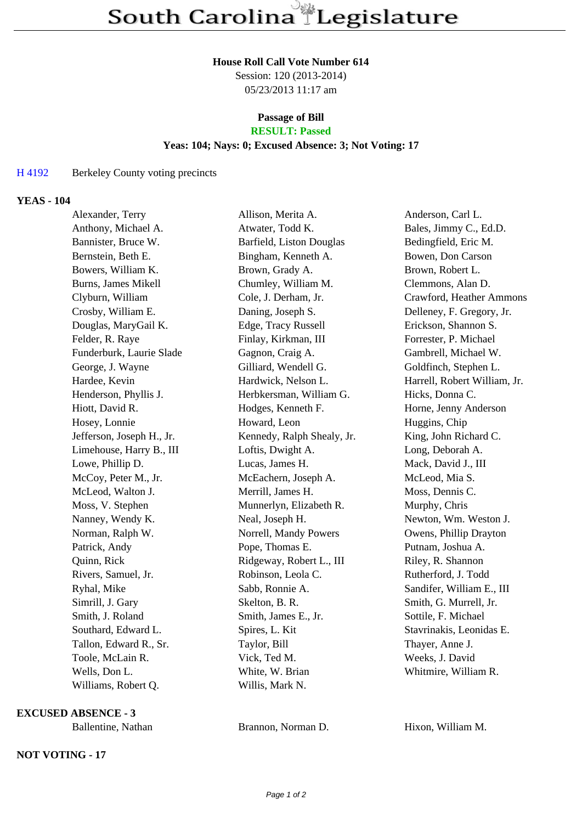#### **House Roll Call Vote Number 614**

Session: 120 (2013-2014) 05/23/2013 11:17 am

### **Passage of Bill RESULT: Passed**

# **Yeas: 104; Nays: 0; Excused Absence: 3; Not Voting: 17**

## H 4192 Berkeley County voting precincts

### **YEAS - 104**

| Alexander, Terry          | Allison, Merita A.         | Anderson, Carl L.            |
|---------------------------|----------------------------|------------------------------|
| Anthony, Michael A.       | Atwater, Todd K.           | Bales, Jimmy C., Ed.D.       |
| Bannister, Bruce W.       | Barfield, Liston Douglas   | Bedingfield, Eric M.         |
| Bernstein, Beth E.        | Bingham, Kenneth A.        | Bowen, Don Carson            |
| Bowers, William K.        | Brown, Grady A.            | Brown, Robert L.             |
| Burns, James Mikell       | Chumley, William M.        | Clemmons, Alan D.            |
| Clyburn, William          | Cole, J. Derham, Jr.       | Crawford, Heather Ammons     |
| Crosby, William E.        | Daning, Joseph S.          | Delleney, F. Gregory, Jr.    |
| Douglas, MaryGail K.      | Edge, Tracy Russell        | Erickson, Shannon S.         |
| Felder, R. Raye           | Finlay, Kirkman, III       | Forrester, P. Michael        |
| Funderburk, Laurie Slade  | Gagnon, Craig A.           | Gambrell, Michael W.         |
| George, J. Wayne          | Gilliard, Wendell G.       | Goldfinch, Stephen L.        |
| Hardee, Kevin             | Hardwick, Nelson L.        | Harrell, Robert William, Jr. |
| Henderson, Phyllis J.     | Herbkersman, William G.    | Hicks, Donna C.              |
| Hiott, David R.           | Hodges, Kenneth F.         | Horne, Jenny Anderson        |
| Hosey, Lonnie             | Howard, Leon               | Huggins, Chip                |
| Jefferson, Joseph H., Jr. | Kennedy, Ralph Shealy, Jr. | King, John Richard C.        |
| Limehouse, Harry B., III  | Loftis, Dwight A.          | Long, Deborah A.             |
| Lowe, Phillip D.          | Lucas, James H.            | Mack, David J., III          |
| McCoy, Peter M., Jr.      | McEachern, Joseph A.       | McLeod, Mia S.               |
| McLeod, Walton J.         | Merrill, James H.          | Moss, Dennis C.              |
| Moss, V. Stephen          | Munnerlyn, Elizabeth R.    | Murphy, Chris                |
| Nanney, Wendy K.          | Neal, Joseph H.            | Newton, Wm. Weston J.        |
| Norman, Ralph W.          | Norrell, Mandy Powers      | Owens, Phillip Drayton       |
| Patrick, Andy             | Pope, Thomas E.            | Putnam, Joshua A.            |
| Quinn, Rick               | Ridgeway, Robert L., III   | Riley, R. Shannon            |
| Rivers, Samuel, Jr.       | Robinson, Leola C.         | Rutherford, J. Todd          |
| Ryhal, Mike               | Sabb, Ronnie A.            | Sandifer, William E., III    |
| Simrill, J. Gary          | Skelton, B. R.             | Smith, G. Murrell, Jr.       |
| Smith, J. Roland          | Smith, James E., Jr.       | Sottile, F. Michael          |
| Southard, Edward L.       | Spires, L. Kit             | Stavrinakis, Leonidas E.     |
| Tallon, Edward R., Sr.    | Taylor, Bill               | Thayer, Anne J.              |
| Toole, McLain R.          | Vick, Ted M.               | Weeks, J. David              |
| Wells, Don L.             | White, W. Brian            | Whitmire, William R.         |
| Williams, Robert Q.       | Willis, Mark N.            |                              |

**EXCUSED ABSENCE - 3**

## **NOT VOTING - 17**

Ballentine, Nathan Brannon, Norman D. Hixon, William M.